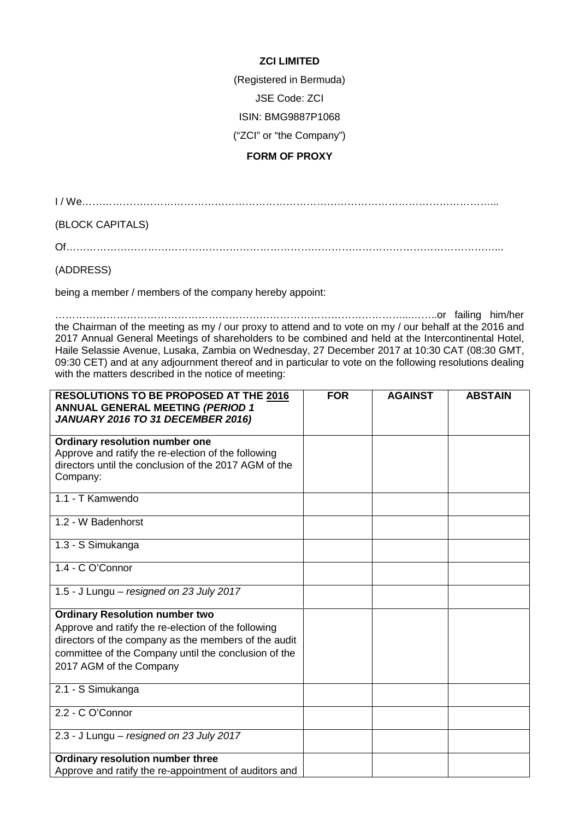## **ZCI LIMITED**

(Registered in Bermuda)

JSE Code: ZCI

ISIN: BMG9887P1068

("ZCI" or "the Company")

## **FORM OF PROXY**

I / We…………………………………………………………………………………………………………...

(BLOCK CAPITALS)

Of………………………………………………………………………………………………………………...

(ADDRESS)

being a member / members of the company hereby appoint:

…………………………………………………………………………………………...……..or failing him/her the Chairman of the meeting as my / our proxy to attend and to vote on my / our behalf at the 2016 and 2017 Annual General Meetings of shareholders to be combined and held at the Intercontinental Hotel, Haile Selassie Avenue, Lusaka, Zambia on Wednesday, 27 December 2017 at 10:30 CAT (08:30 GMT, 09:30 CET) and at any adjournment thereof and in particular to vote on the following resolutions dealing with the matters described in the notice of meeting:

| <b>RESOLUTIONS TO BE PROPOSED AT THE 2016</b><br><b>ANNUAL GENERAL MEETING (PERIOD 1</b><br>JANUARY 2016 TO 31 DECEMBER 2016)                                     | <b>FOR</b> | <b>AGAINST</b> | <b>ABSTAIN</b> |
|-------------------------------------------------------------------------------------------------------------------------------------------------------------------|------------|----------------|----------------|
| <b>Ordinary resolution number one</b><br>Approve and ratify the re-election of the following<br>directors until the conclusion of the 2017 AGM of the<br>Company: |            |                |                |
| 1.1 - T Kamwendo                                                                                                                                                  |            |                |                |
| 1.2 - W Badenhorst                                                                                                                                                |            |                |                |
| 1.3 - S Simukanga                                                                                                                                                 |            |                |                |
| 1.4 - C O'Connor                                                                                                                                                  |            |                |                |
| 1.5 - J Lungu - resigned on 23 July 2017                                                                                                                          |            |                |                |
| <b>Ordinary Resolution number two</b>                                                                                                                             |            |                |                |
| Approve and ratify the re-election of the following                                                                                                               |            |                |                |
| directors of the company as the members of the audit                                                                                                              |            |                |                |
| committee of the Company until the conclusion of the                                                                                                              |            |                |                |
| 2017 AGM of the Company                                                                                                                                           |            |                |                |
| 2.1 - S Simukanga                                                                                                                                                 |            |                |                |
| 2.2 - C O'Connor                                                                                                                                                  |            |                |                |
| 2.3 - J Lungu - resigned on 23 July 2017                                                                                                                          |            |                |                |
| <b>Ordinary resolution number three</b>                                                                                                                           |            |                |                |
| Approve and ratify the re-appointment of auditors and                                                                                                             |            |                |                |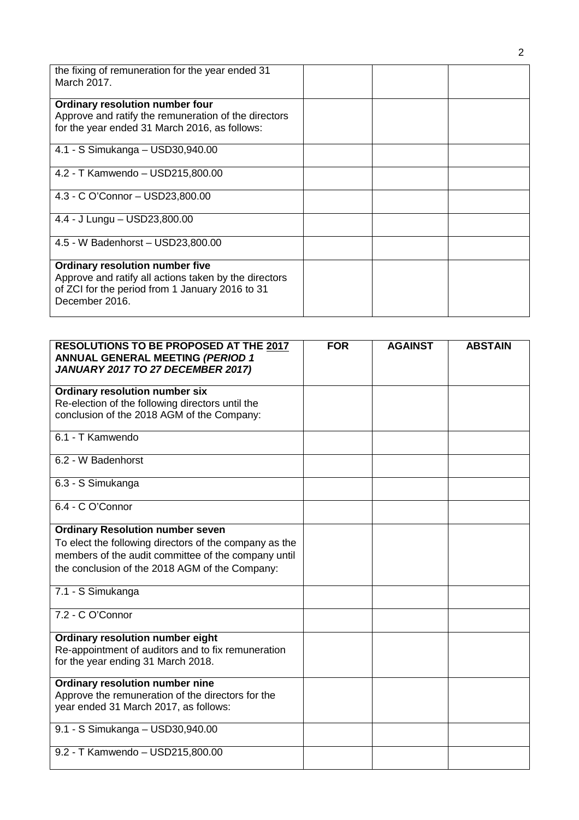| the fixing of remuneration for the year ended 31<br>March 2017. |  |  |
|-----------------------------------------------------------------|--|--|
|                                                                 |  |  |
| <b>Ordinary resolution number four</b>                          |  |  |
| Approve and ratify the remuneration of the directors            |  |  |
| for the year ended 31 March 2016, as follows:                   |  |  |
| 4.1 - S Simukanga – USD30,940.00                                |  |  |
| 4.2 - T Kamwendo - USD215,800.00                                |  |  |
| 4.3 - C O'Connor - USD23,800.00                                 |  |  |
| 4.4 - J Lungu - USD23,800.00                                    |  |  |
| 4.5 - W Badenhorst - USD23,800.00                               |  |  |
| <b>Ordinary resolution number five</b>                          |  |  |
| Approve and ratify all actions taken by the directors           |  |  |
| of ZCI for the period from 1 January 2016 to 31                 |  |  |
| December 2016.                                                  |  |  |

| <b>RESOLUTIONS TO BE PROPOSED AT THE 2017</b><br>ANNUAL GENERAL MEETING (PERIOD 1<br>JANUARY 2017 TO 27 DECEMBER 2017) | <b>FOR</b> | <b>AGAINST</b> | <b>ABSTAIN</b> |
|------------------------------------------------------------------------------------------------------------------------|------------|----------------|----------------|
| <b>Ordinary resolution number six</b>                                                                                  |            |                |                |
| Re-election of the following directors until the                                                                       |            |                |                |
| conclusion of the 2018 AGM of the Company:                                                                             |            |                |                |
| 6.1 - T Kamwendo                                                                                                       |            |                |                |
| 6.2 - W Badenhorst                                                                                                     |            |                |                |
| 6.3 - S Simukanga                                                                                                      |            |                |                |
| 6.4 - C O'Connor                                                                                                       |            |                |                |
| <b>Ordinary Resolution number seven</b>                                                                                |            |                |                |
| To elect the following directors of the company as the                                                                 |            |                |                |
| members of the audit committee of the company until                                                                    |            |                |                |
| the conclusion of the 2018 AGM of the Company:                                                                         |            |                |                |
| 7.1 - S Simukanga                                                                                                      |            |                |                |
| 7.2 - C O'Connor                                                                                                       |            |                |                |
| Ordinary resolution number eight                                                                                       |            |                |                |
| Re-appointment of auditors and to fix remuneration                                                                     |            |                |                |
| for the year ending 31 March 2018.                                                                                     |            |                |                |
| <b>Ordinary resolution number nine</b>                                                                                 |            |                |                |
| Approve the remuneration of the directors for the                                                                      |            |                |                |
| year ended 31 March 2017, as follows:                                                                                  |            |                |                |
| 9.1 - S Simukanga - USD30,940.00                                                                                       |            |                |                |
| 9.2 - T Kamwendo - USD215,800.00                                                                                       |            |                |                |
|                                                                                                                        |            |                |                |